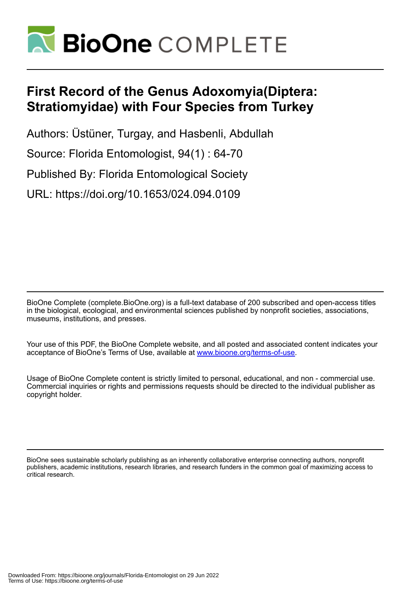

# **First Record of the Genus Adoxomyia(Diptera: Stratiomyidae) with Four Species from Turkey**

Authors: Üstüner, Turgay, and Hasbenli, Abdullah

Source: Florida Entomologist, 94(1) : 64-70

Published By: Florida Entomological Society

URL: https://doi.org/10.1653/024.094.0109

BioOne Complete (complete.BioOne.org) is a full-text database of 200 subscribed and open-access titles in the biological, ecological, and environmental sciences published by nonprofit societies, associations, museums, institutions, and presses.

Your use of this PDF, the BioOne Complete website, and all posted and associated content indicates your acceptance of BioOne's Terms of Use, available at www.bioone.org/terms-of-use.

Usage of BioOne Complete content is strictly limited to personal, educational, and non - commercial use. Commercial inquiries or rights and permissions requests should be directed to the individual publisher as copyright holder.

BioOne sees sustainable scholarly publishing as an inherently collaborative enterprise connecting authors, nonprofit publishers, academic institutions, research libraries, and research funders in the common goal of maximizing access to critical research.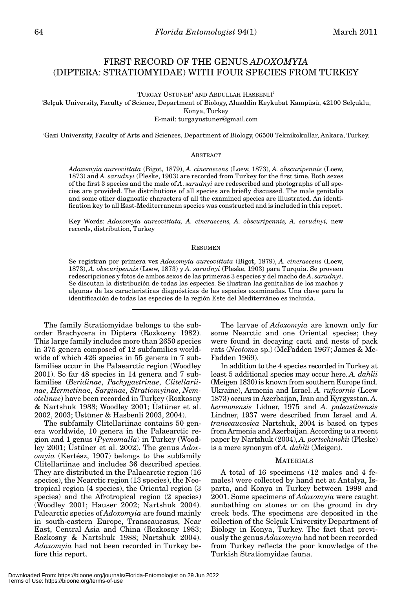## FIRST RECORD OF THE GENUS *ADOXOMYIA* (DIPTERA: STRATIOMYIDAE) WITH FOUR SPECIES FROM TURKEY

 $TURGAY$ ÜSTÜNER<sup>1</sup> AND ABDULLAH HASBENLI<sup>2</sup>

1 Selçuk University, Faculty of Science, Department of Biology, Alaaddin Keykubat Kampüsü, 42100 Selçuklu, Konya, Turkey

E-mail: turgayustuner@gmail.com

2 Gazi University, Faculty of Arts and Sciences, Department of Biology, 06500 Teknikokullar, Ankara, Turkey.

#### **ABSTRACT**

*Adoxomyia aureovittata* (Bigot, 1879), *A. cinerascens* (Loew, 1873), *A. obscuripennis* (Loew, 1873) and *A. sarudnyi* (Pleske, 1903) are recorded from Turkey for the first time. Both sexes of the first 3 species and the male of *A*. *sarudnyi* are redescribed and photographs of all species are provided. The distributions of all species are briefly discussed. The male genitalia and some other diagnostic characters of all the examined species are illustrated. An identification key to all East-Mediterranean species was constructed and is included in this report.

Key Words: *Adoxomyia aureovittata, A. cinerascens, A. obscuripennis, A. sarudnyi*, new records, distribution, Turkey

#### RESUMEN

Se registran por primera vez *Adoxomyia aureovittata* (Bigot, 1879), *A. cinerascens* (Loew, 1873), *A. obscuripennis* (Loew, 1873) y *A. sarudnyi* (Pleske, 1903) para Turquia. Se proveen redescripciones y fotos de ambos sexos de las primeras 3 especies y del macho de *A*. *sarudnyi*. Se discutan la distribución de todas las especies. Se ilustran las genitalias de los machos y algunas de las caracteristicas diagnósticas de las especies examinadas. Una clave para la identificación de todas las especies de la región Este del Mediterráneo es incluida.

The family Stratiomyidae belongs to the suborder Brachycera in Diptera (Rozkosny 1982). This large family includes more than 2650 species in 375 genera composed of 12 subfamilies worldwide of which 426 species in 55 genera in 7 subfamilies occur in the Palaearctic region (Woodley 2001). So far 48 species in 14 genera and 7 subfamilies (*Beridinae*, *Pachygastrinae*, *Clitellariinae*, *Hermetina*e, *Sarginae*, *Stratiomyinae*, *Nemotelinae*) have been recorded in Turkey (Rozkosny & Nartshuk 1988; Woodley 2001; Üstüner et al. 2002, 2003; Üstüner & Hasbenli 2003, 2004).

The subfamily Clitellariinae contains 50 genera worldwide, 10 genera in the Palaearctic region and 1 genus (*Pycnomalla*) in Turkey (Woodley 2001; Üstüner et al. 2002). The genus *Adoxomyia* (Kertész, 1907) belongs to the subfamily Clitellariinae and includes 36 described species. They are distributed in the Palaearctic region (16 species), the Nearctic region (13 species), the Neotropical region (4 species), the Oriental region (3 species) and the Afrotropical region (2 species) (Woodley 2001; Hauser 2002; Nartshuk 2004). Palearctic species of *Adoxomyia* are found mainly in south-eastern Europe, Transcaucasus, Near East, Central Asia and China (Rozkosny 1983; Rozkosny & Nartshuk 1988; Nartshuk 2004). *Adoxomyia* had not been recorded in Turkey before this report.

The larvae of *Adoxomyia* are known only for some Nearctic and one Oriental species; they were found in decaying cacti and nests of pack rats (*Neotoma* sp.) (McFadden 1967; James & Mc-Fadden 1969).

In addition to the 4 species recorded in Turkey at least 5 additional species may occur here. *A. dahlii* (Meigen 1830) is known from southern Europe (incl. Ukraine), Armenia and Israel. *A. ruficornis* (Loew 1873) occurs in Azerbaijan, Iran and Kyrgyzstan. *A. hermonensis* Lidner, 1975 and *A. paleastinensis* Lindner, 1937 were described from Israel and *A. transcaucasica* Nartshuk, 2004 is based on types from Armenia and Azerbaijan. According to a recent paper by Nartshuk (2004), *A. portschinskii* (Pleske) is a mere synonym of *A. dahlii* (Meigen).

#### MATERIALS

A total of 16 specimens (12 males and 4 females) were collected by hand net at Antalya, Isparta, and Konya in Turkey between 1999 and 2001. Some specimens of *Adoxomyia* were caught sunbathing on stones or on the ground in dry creek beds. The specimens are deposited in the collection of the Selçuk University Department of Biology in Konya, Turkey. The fact that previously the genus *Adoxomyia* had not been recorded from Turkey reflects the poor knowledge of the Turkish Stratiomyidae fauna.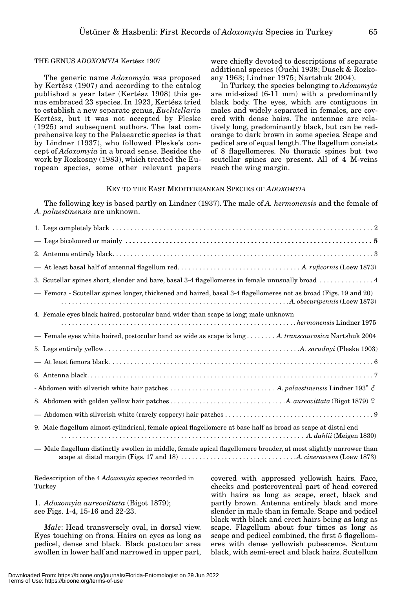#### THE GENUS *ADOXOMYIA* Kertész 1907

The generic name *Adoxomyia* was proposed by Kertész (1907) and according to the catalog publishad a year later (Kertész 1908) this genus embraced 23 species. In 1923, Kertész tried to establish a new separate genus, *Euclitellaria* Kertész, but it was not accepted by Pleske (1925) and subsequent authors. The last comprehensive key to the Palaearctic species is that by Lindner (1937), who followed Pleske's concept of *Adoxomyia* in a broad sense. Besides the work by Rozkosny (1983), which treated the European species, some other relevant papers were chiefly devoted to descriptions of separate additional species (Ôuchi 1938; Dusek & Rozkosny 1963; Lindner 1975; Nartshuk 2004).

In Turkey, the species belonging to *Adoxomyia* are mid-sized (6-11 mm) with a predominantly black body. The eyes, which are contiguous in males and widely separated in females, are covered with dense hairs. The antennae are relatively long, predominantly black, but can be redorange to dark brown in some species. Scape and pedicel are of equal length. The flagellum consists of 8 flagellomeres. No thoracic spines but two scutellar spines are present. All of 4 M-veins reach the wing margin.

### KEY TO THE EAST MEDITERRANEAN SPECIES OF *ADOXOMYIA*

The following key is based partly on Lindner (1937). The male of *A. hermonensis* and the female of *A. palaestinensis* are unknown.

| 3. Scutellar spines short, slender and bare, basal 3-4 flagellomeres in female unusually broad  4                                                  |
|----------------------------------------------------------------------------------------------------------------------------------------------------|
| - Femora - Scutellar spines longer, thickened and haired, basal 3-4 flagellomeres not as broad (Figs. 19 and 20)                                   |
| 4. Female eyes black haired, postocular band wider than scape is long; male unknown                                                                |
| - Female eyes white haired, postocular band as wide as scape is long  A. transcaucasica Nartshuk 2004                                              |
|                                                                                                                                                    |
|                                                                                                                                                    |
|                                                                                                                                                    |
| - Abdomen with silverish white hair patches $\ldots\ldots\ldots\ldots\ldots\ldots\ldots\ldots\ldots\ldots$ A. palaestinensis Lindner 193° $\delta$ |
|                                                                                                                                                    |
|                                                                                                                                                    |
| 9. Male flagellum almost cylindrical, female apical flagellomere at base half as broad as scape at distal end                                      |
| - Male flagellum distinctly swollen in middle, female apical flagellomere broader, at most slightly narrower than                                  |

Redescription of the 4 *Adoxomyia* species recorded in Turkey

1. *Adoxomyia aureovittata* (Bigot 1879); see Figs. 1-4, 15-16 and 22-23.

*Male*: Head transversely oval, in dorsal view. Eyes touching on frons. Hairs on eyes as long as pedicel, dense and black. Black postocular area swollen in lower half and narrowed in upper part,

covered with appressed yellowish hairs. Face, cheeks and posteroventral part of head covered with hairs as long as scape, erect, black and partly brown. Antenna entirely black and more slender in male than in female. Scape and pedicel black with black and erect hairs being as long as scape. Flagellum about four times as long as scape and pedicel combined, the first 5 flagellomeres with dense yellowish pubescence. Scutum black, with semi-erect and black hairs. Scutellum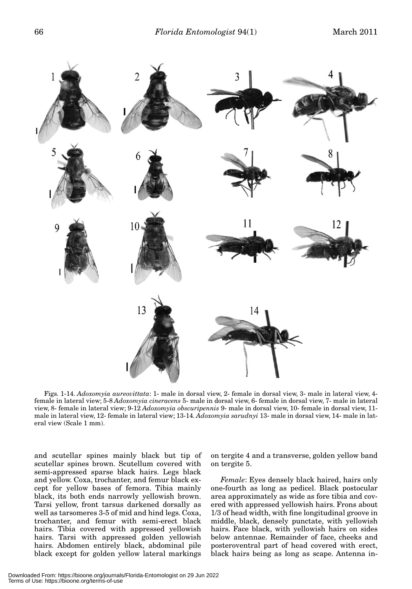

Figs. 1-14. *Adoxomyia aureovittata*: 1- male in dorsal view, 2- female in dorsal view, 3- male in lateral view, 4 female in lateral view; 5-8 *Adoxomyia cineracens* 5- male in dorsal view, 6- female in dorsal view, 7- male in lateral view, 8- female in lateral view; 9-12 *Adoxomyia obscuripennis* 9- male in dorsal view, 10- female in dorsal view, 11 male in lateral view, 12- female in lateral view; 13-14*. Adoxomyia sarudnyi* 13- male in dorsal view, 14- male in lateral view (Scale 1 mm).

and scutellar spines mainly black but tip of scutellar spines brown. Scutellum covered with semi-appressed sparse black hairs. Legs black and yellow. Coxa, trochanter, and femur black except for yellow bases of femora. Tibia mainly black, its both ends narrowly yellowish brown. Tarsi yellow, front tarsus darkened dorsally as well as tarsomeres 3-5 of mid and hind legs. Coxa, trochanter, and femur with semi-erect black hairs. Tibia covered with appressed yellowish hairs. Tarsi with appressed golden yellowish hairs. Abdomen entirely black, abdominal pile black except for golden yellow lateral markings

on tergite 4 and a transverse, golden yellow band on tergite 5.

*Female*: Eyes densely black haired, hairs only one-fourth as long as pedicel. Black postocular area approximately as wide as fore tibia and covered with appressed yellowish hairs. Frons about 1/3 of head width, with fine longitudinal groove in middle, black, densely punctate, with yellowish hairs. Face black, with yellowish hairs on sides below antennae. Remainder of face, cheeks and posteroventral part of head covered with erect, black hairs being as long as scape. Antenna in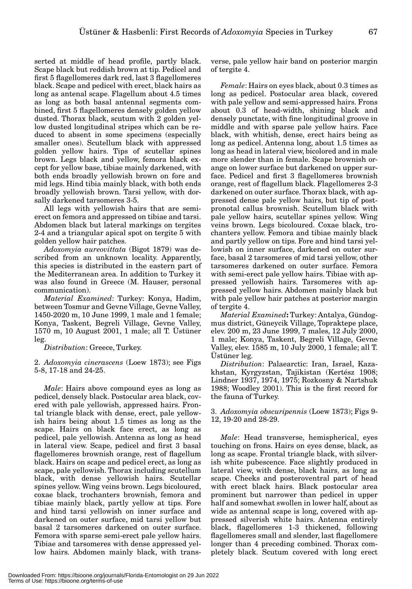serted at middle of head profile, partly black. Scape black but reddish brown at tip. Pedicel and first 5 flagellomeres dark red, last 3 flagellomeres black. Scape and pedicel with erect, black hairs as long as antenal scape. Flagellum about 4.5 times as long as both basal antennal segments combined, first 5 flagellomeres densely golden yellow dusted. Thorax black, scutum with 2 golden yellow dusted longitudinal stripes which can be reduced to absent in some specimens (especially smaller ones). Scutellum black with appressed golden yellow hairs. Tips of scutellar spines brown. Legs black and yellow, femora black except for yellow base, tibiae mainly darkened, with both ends broadly yellowish brown on fore and mid legs. Hind tibia mainly black, with both ends broadly yellowish brown. Tarsi yellow, with dorsally darkened tarsomeres 3-5.

All legs with yellowish hairs that are semierect on femora and appressed on tibiae and tarsi. Abdomen black but lateral markings on tergites 2-4 and a triangular apical spot on tergite 5 with golden yellow hair patches.

*Adoxomyia aureovittata* (Bigot 1879) was described from an unknown locality. Apparently, this species is distributed in the eastern part of the Mediterranean area. In addition to Turkey it was also found in Greece (M. Hauser, personal communication).

*Material Examined*: Turkey: Konya, Hadim, between Tosmur and Gevne Village, Gevne Valley, 1450-2020 m, 10 June 1999, 1 male and 1 female; Konya, Taskent, Begreli Village, Gevne Valley, 1570 m, 10 August 2001, 1 male; all T. Üstüner leg.

*Distribution*: Greece, Turkey.

2. *Adoxomyia cinerascens* (Loew 1873); see Figs 5-8, 17-18 and 24-25.

*Male*: Hairs above compound eyes as long as pedicel, densely black. Postocular area black, covered with pale yellowish, appressed hairs. Frontal triangle black with dense, erect, pale yellowish hairs being about 1.5 times as long as the scape. Hairs on black face erect, as long as pedicel, pale yellowish. Antenna as long as head in lateral view. Scape, pedicel and first 3 basal flagellomeres brownish orange, rest of flagellum black. Hairs on scape and pedicel erect, as long as scape, pale yellowish. Thorax including scutellum black, with dense yellowish hairs. Scutellar spines yellow. Wing veins brown. Legs bicoloured, coxae black, trochanters brownish, femora and tibiae mainly black, partly yellow at tips. Fore and hind tarsi yellowish on inner surface and darkened on outer surface, mid tarsi yellow but basal 2 tarsomeres darkened on outer surface. Femora with sparse semi-erect pale yellow hairs. Tibiae and tarsomeres with dense appressed yellow hairs. Abdomen mainly black, with transverse, pale yellow hair band on posterior margin of tergite 4.

*Female*: Hairs on eyes black, about 0.3 times as long as pedicel. Postocular area black, covered with pale yellow and semi-appressed hairs. Frons about 0.3 of head-width, shining black and densely punctate, with fine longitudinal groove in middle and with sparse pale yellow hairs. Face black, with whitish, dense, erect hairs being as long as pedicel. Antenna long, about 1.5 times as long as head in lateral view, bicolored and in male more slender than in female. Scape brownish orange on lower surface but darkened on upper surface. Pedicel and first 3 flagellomeres brownish orange, rest of flagellum black. Flagellomeres 2-3 darkened on outer surface. Thorax black, with appressed dense pale yellow hairs, but tip of postpronotal callus brownish. Scutellum black with pale yellow hairs, scutellar spines yellow. Wing veins brown. Legs bicoloured. Coxae black, trochanters yellow. Femora and tibiae mainly black and partly yellow on tips. Fore and hind tarsi yellowish on inner surface, darkened on outer surface, basal 2 tarsomeres of mid tarsi yellow, other tarsomeres darkened on outer surface. Femora with semi-erect pale yellow hairs. Tibiae with appressed yellowish hairs. Tarsomeres with appressed yellow hairs. Abdomen mainly black but with pale yellow hair patches at posterior margin of tergite 4.

*Material Examined***:** Turkey: Antalya, Gündogmus district, Güneycik Village, Topraktepe place, elev. 200 m, 23 June 1999, 7 males, 12 July 2000, 1 male; Konya, Taskent, Begreli Village, Gevne Valley, elev. 1585 m, 10 July 2000, 1 female; all T. Üstüner leg.

*Distribution*: Palaearctic: Iran, Israel, Kazakhstan, Kyrgyzstan, Tajikistan (Kertész 1908; Lindner 1937, 1974, 1975; Rozkosny & Nartshuk 1988; Woodley 2001). This is the first record for the fauna of Turkey.

3. *Adoxomyia obscuripennis* (Loew 1873); Figs 9- 12, 19-20 and 28-29.

*Male*: Head transverse, hemispherical, eyes touching on frons. Hairs on eyes dense, black, as long as scape. Frontal triangle black, with silverish white pubescence. Face slightly produced in lateral view, with dense, black hairs, as long as scape. Cheeks and posteroventral part of head with erect black hairs. Black postocular area prominent but narrower than pedicel in upper half and somewhat swollen in lower half, about as wide as antennal scape is long, covered with appressed silverish white hairs. Antenna entirely black, flagellomeres 1-3 thickened, following flagellomeres small and slender, last flagellomere longer than 4 preceding combined. Thorax completely black. Scutum covered with long erect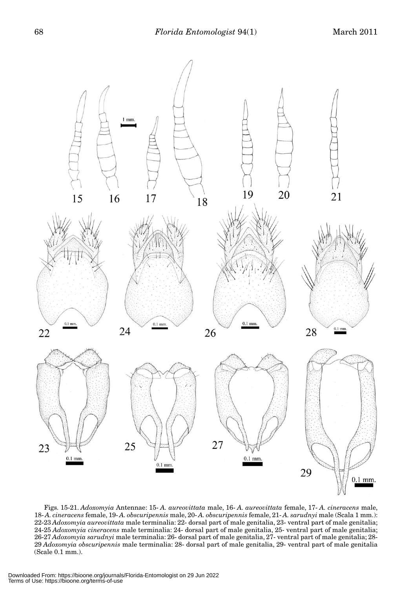

Figs. 15-21. *Adoxomyia* Antennae: 15- *A. aureovittata* male, 16- *A. aureovittata* female, 17- *A. cineracens* male, 18- *A. cineracens* female, 19- *A. obscuripennis* male, 20- *A. obscuripennis* female, 21- *A. sarudnyi* male (Scala 1 mm.): 22-23 *Adoxomyia aureovittata* male terminalia: 22- dorsal part of male genitalia, 23- ventral part of male genitalia; 24-25 *Adoxomyia cineracens* male terminalia: 24- dorsal part of male genitalia, 25- ventral part of male genitalia; 26-27 *Adoxomyia sarudnyi* male terminalia: 26- dorsal part of male genitalia, 27- ventral part of male genitalia; 28- 29 *Adoxomyia obscuripennis* male terminalia: 28- dorsal part of male genitalia, 29- ventral part of male genitalia (Scale 0.1 mm.).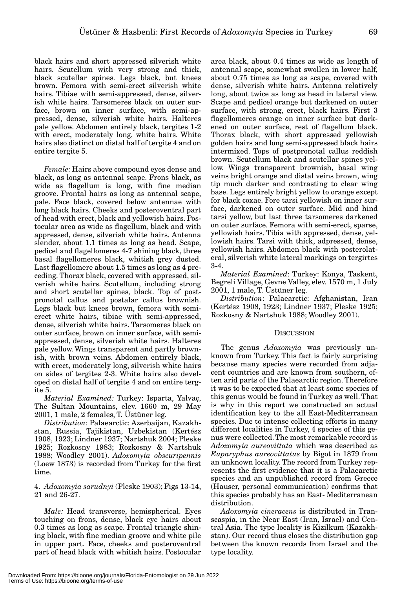black hairs and short appressed silverish white hairs. Scutellum with very strong and thick, black scutellar spines. Legs black, but knees brown. Femora with semi-erect silverish white hairs. Tibiae with semi-appressed, dense, silverish white hairs. Tarsomeres black on outer surface, brown on inner surface, with semi-appressed, dense, silverish white hairs. Halteres pale yellow. Abdomen entirely black, tergites 1-2 with erect, moderately long, white hairs. White hairs also distinct on distal half of tergite 4 and on entire tergite 5.

*Female:* Hairs above compound eyes dense and black, as long as antennal scape. Frons black, as wide as flagellum is long, with fine median groove. Frontal hairs as long as antennal scape, pale. Face black, covered below antennae with long black hairs. Cheeks and posteroventral part of head with erect, black and yellowish hairs. Postocular area as wide as flagellum, black and with appressed, dense, silverish white hairs. Antenna slender, about 1.1 times as long as head. Scape, pedicel and flagellomeres 4-7 shining black, three basal flagellomeres black, whitish grey dusted. Last flagellomere about 1.5 times as long as 4 preceding. Thorax black, covered with appressed, silverish white hairs. Scutellum, including strong and short scutellar spines, black. Top of postpronotal callus and postalar callus brownish. Legs black but knees brown, femora with semierect white hairs, tibiae with semi-appressed, dense, silverish white hairs. Tarsomeres black on outer surface, brown on inner surface, with semiappressed, dense, silverish white hairs. Halteres pale yellow. Wings transparent and partly brownish, with brown veins. Abdomen entirely black, with erect, moderately long, silverish white hairs on sides of tergites 2-3. White hairs also developed on distal half of tergite 4 and on entire tergite 5.

*Material Examined:* Turkey: Isparta, Yalvaç, The Sultan Mountains, elev. 1660 m, 29 May 2001, 1 male, 2 females, T. Üstüner leg.

*Distribution*: Palaearctic: Azerbaijan, Kazakhstan, Russia, Tajikistan, Uzbekistan (Kertész 1908, 1923; Lindner 1937; Nartshuk 2004; Pleske 1925; Rozkosny 1983; Rozkosny & Nartshuk 1988; Woodley 2001). *Adoxomyia obscuripennis* (Loew 1873) is recorded from Turkey for the first time.

4. *Adoxomyia sarudnyi* (Pleske 1903); Figs 13-14, 21 and 26-27.

*Male:* Head transverse, hemispherical. Eyes touching on frons, dense, black eye hairs about 0.3 times as long as scape. Frontal triangle shining black, with fine median groove and white pile in upper part. Face, cheeks and posteroventral part of head black with whitish hairs. Postocular

area black, about 0.4 times as wide as length of antennal scape, somewhat swollen in lower half, about 0.75 times as long as scape, covered with dense, silverish white hairs. Antenna relatively long, about twice as long as head in lateral view. Scape and pedicel orange but darkened on outer surface, with strong, erect, black hairs. First 3 flagellomeres orange on inner surface but darkened on outer surface, rest of flagellum black. Thorax black, with short appressed yellowish golden hairs and long semi-appressed black hairs intermixed. Tops of postpronotal callus reddish brown. Scutellum black and scutellar spines yellow. Wings transparent brownish, basal wing veins bright orange and distal veins brown, wing tip much darker and contrasting to clear wing base. Legs entirely bright yellow to orange except for black coxae. Fore tarsi yellowish on inner surface, darkened on outer surface. Mid and hind tarsi yellow, but last three tarsomeres darkened on outer surface. Femora with semi-erect, sparse, yellowish hairs. Tibia with appressed, dense, yellowish hairs. Tarsi with thick, adpressed, dense, yellowish hairs. Abdomen black with posterolateral, silverish white lateral markings on tergirtes 3-4.

*Material Examined*: Turkey: Konya, Taskent, Begreli Village, Gevne Valley, elev. 1570 m, 1 July 2001, 1 male, T. Üstüner leg.

*Distribution*: Palaearctic: Afghanistan, Iran (Kertész 1908, 1923; Lindner 1937; Pleske 1925; Rozkosny & Nartshuk 1988; Woodley 2001).

#### **DISCUSSION**

The genus *Adoxomyia* was previously unknown from Turkey. This fact is fairly surprising because many species were recorded from adjacent countries and are known from southern, often arid parts of the Palaearctic region. Therefore it was to be expected that at least some species of this genus would be found in Turkey as well. That is why in this report we constructed an actual identification key to the all East-Mediterranean species. Due to intense collecting efforts in many different localities in Turkey, 4 species of this genus were collected. The most remarkable record is *Adoxomyia aureovittata* which was described as *Euparyphus aureovittatus* by Bigot in 1879 from an unknown locality. The record from Turkey represents the first evidence that it is a Palaearctic species and an unpublished record from Greece (Hauser, personal communication) confirms that this species probably has an East- Mediterranean distribution.

*Adoxomyia cineracens* is distributed in Transcaspia, in the Near East (Iran, Israel) and Central Asia. The type locality is Kizilkum (Kazakhstan). Our record thus closes the distribution gap between the known records from Israel and the type locality.